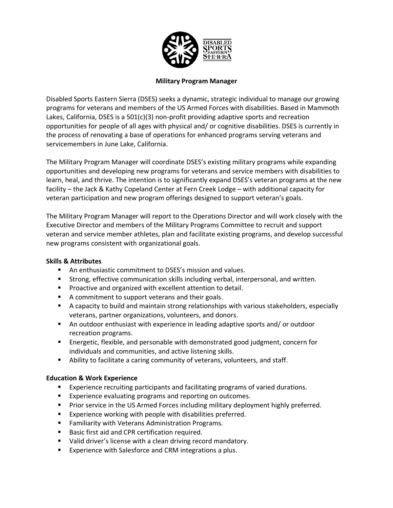

### **Military Program Manager**

Disabled Sports Eastern Sierra (DSES) seeks a dynamic, strategic individual to manage our growing programs for veterans and members of the US Armed Forces with disabilities. Based in Mammoth Lakes, California, DSES is a  $501(c)(3)$  non-profit providing adaptive sports and recreation opportunities for people of all ages with physical and/ or cognitive disabilities. DSES is currently in the process of renovating a base of operations for enhanced programs serving veterans and servicemembers in June Lake, California.

The Military Program Manager will coordinate DSES's existing military programs while expanding opportunities and developing new programs for veterans and service members with disabilities to learn, heal, and thrive. The intention is to significantly expand DSES's veteran programs at the new facility – the Jack & Kathy Copeland Center at Fern Creek Lodge – with additional capacity for veteran participation and new program offerings designed to support veteran's goals.

The Military Program Manager will report to the Operations Director and will work closely with the Executive Director and members of the Military Programs Committee to recruit and support veteran and service member athletes, plan and facilitate existing programs, and develop successful new programs consistent with organizational goals.

#### **Skills & Attributes**

- An enthusiastic commitment to DSES's mission and values.
- Strong, effective communication skills including verbal, interpersonal, and written.
- Proactive and organized with excellent attention to detail.
- A commitment to support veterans and their goals.
- § A capacity to build and maintain strong relationships with various stakeholders, especially veterans, partner organizations, volunteers, and donors.
- An outdoor enthusiast with experience in leading adaptive sports and/ or outdoor recreation programs.
- Energetic, flexible, and personable with demonstrated good judgment, concern for individuals and communities, and active listening skills.
- Ability to facilitate a caring community of veterans, volunteers, and staff.

## **Education & Work Experience**

- Experience recruiting participants and facilitating programs of varied durations.
- Experience evaluating programs and reporting on outcomes.
- Prior service in the US Armed Forces including military deployment highly preferred.
- Experience working with people with disabilities preferred.
- Familiarity with Veterans Administration Programs.
- Basic first aid and CPR certification required.
- Valid driver's license with a clean driving record mandatory.
- Experience with Salesforce and CRM integrations a plus.